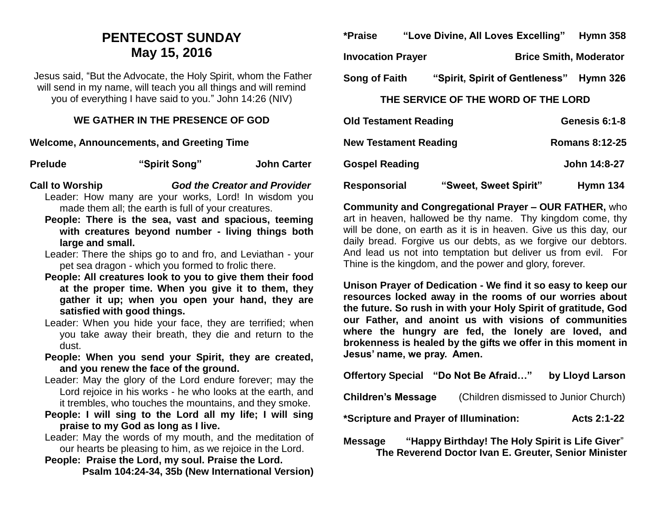### **PENTECOST SUNDAY May 15, 2016**

Jesus said, "But the Advocate, the Holy Spirit, whom the Father will send in my name, will teach you all things and will remind you of everything I have said to you." John 14:26 (NIV)

#### **WE GATHER IN THE PRESENCE OF GOD**

**Welcome, Announcements, and Greeting Time** 

| <b>Prelude</b> | "Spirit Song" | <b>John Carter</b> |
|----------------|---------------|--------------------|
|                |               |                    |

**Call to Worship** *God the Creator and Provider* Leader: How many are your works, Lord! In wisdom you made them all; the earth is full of your creatures.

**People: There is the sea, vast and spacious, teeming with creatures beyond number - living things both large and small.**

Leader: There the ships go to and fro, and Leviathan - your pet sea dragon - which you formed to frolic there.

- **People: All creatures look to you to give them their food at the proper time. When you give it to them, they gather it up; when you open your hand, they are satisfied with good things.**
- Leader: When you hide your face, they are terrified; when you take away their breath, they die and return to the dust.
- **People: When you send your Spirit, they are created, and you renew the face of the ground.**
- Leader: May the glory of the Lord endure forever; may the Lord rejoice in his works - he who looks at the earth, and it trembles, who touches the mountains, and they smoke.
- **People: I will sing to the Lord all my life; I will sing praise to my God as long as I live.**
- Leader: May the words of my mouth, and the meditation of our hearts be pleasing to him, as we rejoice in the Lord.

**People: Praise the Lord, my soul. Praise the Lord. Psalm 104:24-34, 35b (New International Version)**

| *Praise                  | "Love Divine, All Loves Excelling" |                                | <b>Hymn 358</b> |
|--------------------------|------------------------------------|--------------------------------|-----------------|
| <b>Invocation Prayer</b> |                                    | <b>Brice Smith, Moderator</b>  |                 |
| <b>Song of Faith</b>     |                                    | "Spirit, Spirit of Gentleness" | <b>Hymn 326</b> |

#### **THE SERVICE OF THE WORD OF THE LORD**

| <b>Old Testament Reading</b> |                       | Genesis 6:1-8         |
|------------------------------|-----------------------|-----------------------|
| <b>New Testament Reading</b> |                       | <b>Romans 8:12-25</b> |
| <b>Gospel Reading</b>        |                       | John 14:8-27          |
| Responsorial                 | "Sweet, Sweet Spirit" | Hymn 134              |

**Community and Congregational Prayer – OUR FATHER,** who art in heaven, hallowed be thy name. Thy kingdom come, thy will be done, on earth as it is in heaven. Give us this day, our daily bread. Forgive us our debts, as we forgive our debtors. And lead us not into temptation but deliver us from evil. For Thine is the kingdom, and the power and glory, forever.

**Unison Prayer of Dedication - We find it so easy to keep our resources locked away in the rooms of our worries about the future. So rush in with your Holy Spirit of gratitude, God our Father, and anoint us with visions of communities where the hungry are fed, the lonely are loved, and brokenness is healed by the gifts we offer in this moment in Jesus' name, we pray. Amen.**

| <b>Offertory Special</b>                                                                                                  | "Do Not Be Afraid"                    | by Lloyd Larson |  |  |
|---------------------------------------------------------------------------------------------------------------------------|---------------------------------------|-----------------|--|--|
| <b>Children's Message</b>                                                                                                 | (Children dismissed to Junior Church) |                 |  |  |
| *Scripture and Prayer of Illumination:<br><b>Acts 2:1-22</b>                                                              |                                       |                 |  |  |
| "Happy Birthday! The Holy Spirit is Life Giver"<br><b>Message</b><br>The Reverend Doctor Ivan E. Greuter, Senior Minister |                                       |                 |  |  |